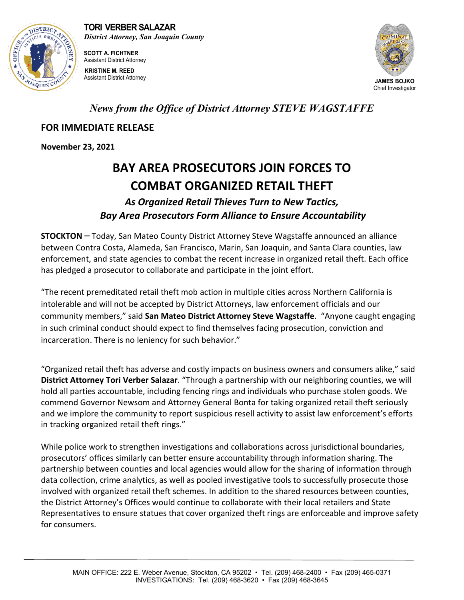

**SCOTT A. FICHTNER** Assistant District Attorney **KRISTINE M. REED** Assistant District Attorney **JAMES BOJKO**



## *News from the Office of District Attorney STEVE WAGSTAFFE*

## **FOR IMMEDIATE RELEASE**

**November 23, 2021**

## **BAY AREA PROSECUTORS JOIN FORCES TO COMBAT ORGANIZED RETAIL THEFT**

*As Organized Retail Thieves Turn to New Tactics, Bay Area Prosecutors Form Alliance to Ensure Accountability*

**STOCKTON** – Today, San Mateo County District Attorney Steve Wagstaffe announced an alliance between Contra Costa, Alameda, San Francisco, Marin, San Joaquin, and Santa Clara counties, law enforcement, and state agencies to combat the recent increase in organized retail theft. Each office has pledged a prosecutor to collaborate and participate in the joint effort.

"The recent premeditated retail theft mob action in multiple cities across Northern California is intolerable and will not be accepted by District Attorneys, law enforcement officials and our community members," said **San Mateo District Attorney Steve Wagstaffe**. "Anyone caught engaging in such criminal conduct should expect to find themselves facing prosecution, conviction and incarceration. There is no leniency for such behavior."

"Organized retail theft has adverse and costly impacts on business owners and consumers alike," said **District Attorney Tori Verber Salazar**. "Through a partnership with our neighboring counties, we will hold all parties accountable, including fencing rings and individuals who purchase stolen goods. We commend Governor Newsom and Attorney General Bonta for taking organized retail theft seriously and we implore the community to report suspicious resell activity to assist law enforcement's efforts in tracking organized retail theft rings."

While police work to strengthen investigations and collaborations across jurisdictional boundaries, prosecutors' offices similarly can better ensure accountability through information sharing. The partnership between counties and local agencies would allow for the sharing of information through data collection, crime analytics, as well as pooled investigative tools to successfully prosecute those involved with organized retail theft schemes. In addition to the shared resources between counties, the District Attorney's Offices would continue to collaborate with their local retailers and State Representatives to ensure statues that cover organized theft rings are enforceable and improve safety for consumers.